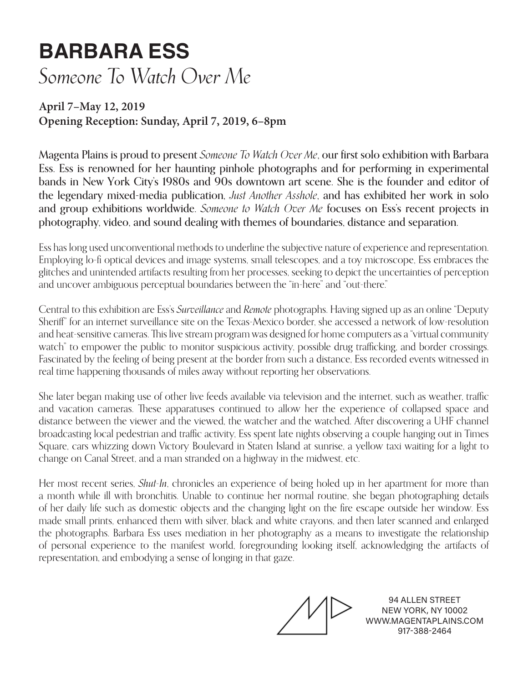## **BARBARA ESS** *Someone To Watch Over Me*

## **April 7–May 12, 2019 Opening Reception: Sunday, April 7, 2019, 6–8pm**

Magenta Plains is proud to present *Someone To Watch Over Me*, our first solo exhibition with Barbara Ess. Ess is renowned for her haunting pinhole photographs and for performing in experimental bands in New York City's 1980s and 90s downtown art scene. She is the founder and editor of the legendary mixed-media publication, *Just Another Asshole*, and has exhibited her work in solo and group exhibitions worldwide. *Someone to Watch Over Me* focuses on Ess's recent projects in photography, video, and sound dealing with themes of boundaries, distance and separation.

Ess has long used unconventional methods to underline the subjective nature of experience and representation. Employing lo-fi optical devices and image systems, small telescopes, and a toy microscope, Ess embraces the glitches and unintended artifacts resulting from her processes, seeking to depict the uncertainties of perception and uncover ambiguous perceptual boundaries between the "in-here" and "out-there."

Central to this exhibition are Ess's *Surveillance* and *Remote* photographs. Having signed up as an online "Deputy Sheriff" for an internet surveillance site on the Texas-Mexico border, she accessed a network of low-resolution and heat-sensitive cameras. This live stream program was designed for home computers as a "virtual community watch" to empower the public to monitor suspicious activity, possible drug trafficking, and border crossings. Fascinated by the feeling of being present at the border from such a distance, Ess recorded events witnessed in real time happening thousands of miles away without reporting her observations.

She later began making use of other live feeds available via television and the internet, such as weather, traffic and vacation cameras. These apparatuses continued to allow her the experience of collapsed space and distance between the viewer and the viewed, the watcher and the watched. After discovering a UHF channel broadcasting local pedestrian and traffic activity, Ess spent late nights observing a couple hanging out in Times Square, cars whizzing down Victory Boulevard in Staten Island at sunrise, a yellow taxi waiting for a light to change on Canal Street, and a man stranded on a highway in the midwest, etc.

Her most recent series, *Shut-In*, chronicles an experience of being holed up in her apartment for more than a month while ill with bronchitis. Unable to continue her normal routine, she began photographing details of her daily life such as domestic objects and the changing light on the fire escape outside her window. Ess made small prints, enhanced them with silver, black and white crayons, and then later scanned and enlarged the photographs. Barbara Ess uses mediation in her photography as a means to investigate the relationship of personal experience to the manifest world, foregrounding looking itself, acknowledging the artifacts of representation, and embodying a sense of longing in that gaze.

94 ALLEN STREET NEW YORK, NY 10002 WWW.MAGENTAPLAINS.COM 917-388-2464